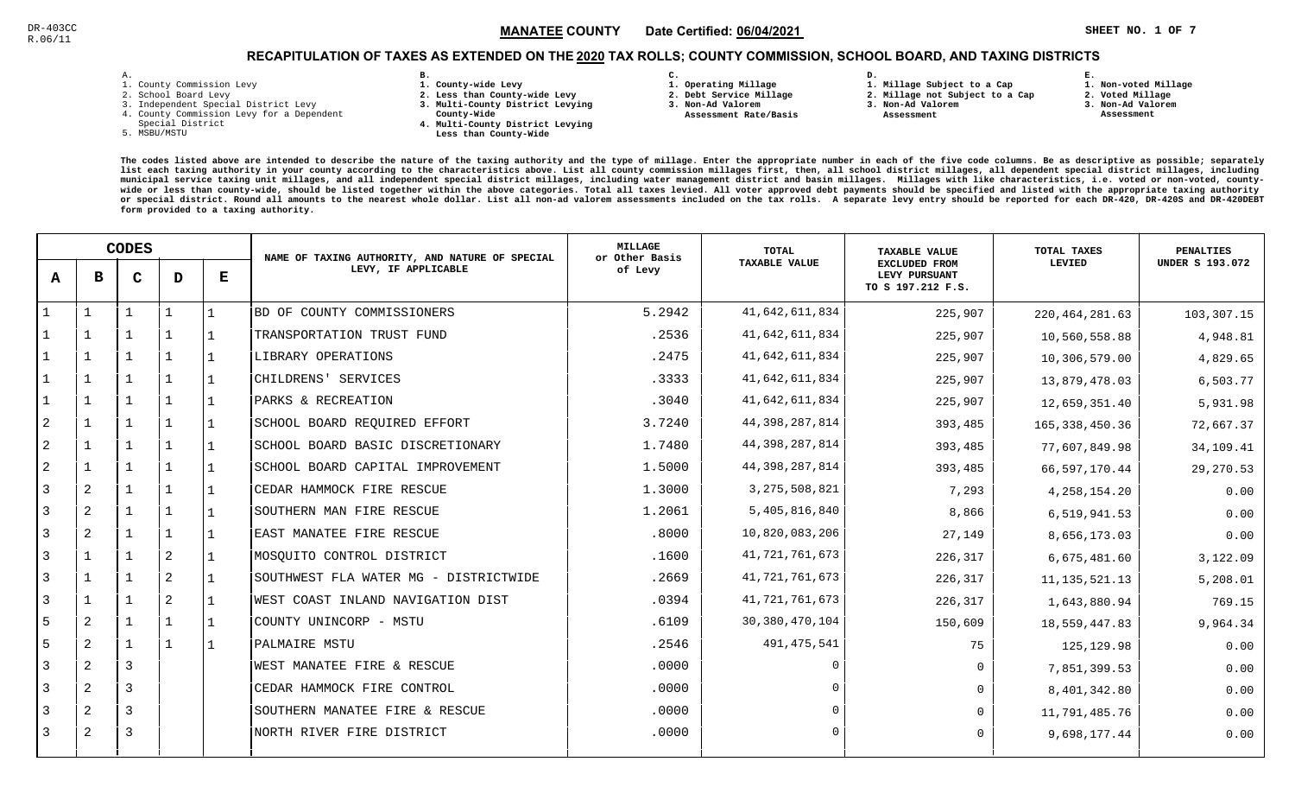**1. Non-voted Millage**

# RECAPITULATION OF TAXES AS EXTENDED ON THE <u>2020</u> TAX ROLLS; COUNTY COMMISSION, SCHOOL BOARD, AND TAXING DISTRICTS

| – | ٠ |  |  |
|---|---|--|--|

- 1. County Commission Levy
- 2. School Board Levy
- 3. Independent Special District Levy
- 4. County Commission Levy for a Dependent
- Special District
- 5. MSBU/MSTU
- **B. 1. County-wide Levy**
- **2. Less than County-wide Levy**
- **3. Multi-County District Levying**
- **County-Wide** 
	- **4. Multi-County District Levying Less than County-Wide**
- **C.**
- **1. Operating Millage**
- **2. Debt Service Millage 3. Non-Ad Valorem**
- **Assessment Rate/Basis**
- **2. Millage not Subject to a Cap**

**D.** 

- **3. Non-Ad Valorem**
	- **Assessment**

**1. Millage Subject to a Cap**

**2. Voted Millage**

**E.**

- **3. Non-Ad Valorem**
- **Assessment**

|                | <b>CODES</b>   |                |                | NAME OF TAXING AUTHORITY, AND NATURE OF SPECIAL | MILLAGE<br>or Other Basis             | <b>TOTAL</b> | <b>TAXABLE VALUE</b> | TOTAL TAXES                                                | PENALTIES        |                        |
|----------------|----------------|----------------|----------------|-------------------------------------------------|---------------------------------------|--------------|----------------------|------------------------------------------------------------|------------------|------------------------|
| A              | в              | $\mathbf C$    | D              | Е                                               | LEVY, IF APPLICABLE                   | of Levy      | <b>TAXABLE VALUE</b> | <b>EXCLUDED FROM</b><br>LEVY PURSUANT<br>TO S 197.212 F.S. | LEVIED           | <b>UNDER S 193.072</b> |
|                |                |                |                |                                                 | BD OF COUNTY COMMISSIONERS            | 5.2942       | 41,642,611,834       | 225,907                                                    | 220, 464, 281.63 | 103,307.15             |
|                |                |                |                |                                                 | TRANSPORTATION TRUST FUND             | .2536        | 41,642,611,834       | 225,907                                                    | 10,560,558.88    | 4,948.81               |
|                | $\mathbf 1$    |                | $\mathbf{1}$   |                                                 | LIBRARY OPERATIONS                    | .2475        | 41,642,611,834       | 225,907                                                    | 10,306,579.00    | 4,829.65               |
|                | $\mathbf{1}$   |                | $\mathbf{1}$   |                                                 | CHILDRENS' SERVICES                   | .3333        | 41,642,611,834       | 225,907                                                    | 13,879,478.03    | 6,503.77               |
|                | $\mathbf{1}$   |                | $\mathbf{1}$   |                                                 | PARKS & RECREATION                    | .3040        | 41,642,611,834       | 225,907                                                    | 12,659,351.40    | 5,931.98               |
| 2              | $\mathbf{1}$   |                | 1              |                                                 | SCHOOL BOARD REQUIRED EFFORT          | 3.7240       | 44,398,287,814       | 393,485                                                    | 165, 338, 450.36 | 72,667.37              |
| $\overline{c}$ | $\mathbf{1}$   |                |                |                                                 | SCHOOL BOARD BASIC DISCRETIONARY      | 1.7480       | 44,398,287,814       | 393,485                                                    | 77,607,849.98    | 34,109.41              |
| $\sqrt{2}$     |                |                |                |                                                 | SCHOOL BOARD CAPITAL IMPROVEMENT      | 1.5000       | 44, 398, 287, 814    | 393,485                                                    | 66,597,170.44    | 29,270.53              |
| 3              | 2              |                | 1              |                                                 | CEDAR HAMMOCK FIRE RESCUE             | 1.3000       | 3, 275, 508, 821     | 7,293                                                      | 4, 258, 154. 20  | 0.00                   |
| 3              | 2              |                | $\mathbf{1}$   |                                                 | SOUTHERN MAN FIRE RESCUE              | 1.2061       | 5,405,816,840        | 8,866                                                      | 6,519,941.53     | 0.00                   |
| $\overline{3}$ | 2              |                | $\mathbf{1}$   |                                                 | EAST MANATEE FIRE RESCUE              | .8000        | 10,820,083,206       | 27,149                                                     | 8,656,173.03     | 0.00                   |
| $\overline{3}$ |                |                | $\overline{2}$ |                                                 | MOSQUITO CONTROL DISTRICT             | .1600        | 41,721,761,673       | 226,317                                                    | 6,675,481.60     | 3,122.09               |
| $\overline{3}$ | $\overline{1}$ |                | $\overline{2}$ |                                                 | SOUTHWEST FLA WATER MG - DISTRICTWIDE | .2669        | 41, 721, 761, 673    | 226,317                                                    | 11, 135, 521. 13 | 5,208.01               |
| 3              |                |                | 2              |                                                 | WEST COAST INLAND NAVIGATION DIST     | .0394        | 41, 721, 761, 673    | 226,317                                                    | 1,643,880.94     | 769.15                 |
| 5              | 2              |                | $\mathbf{1}$   |                                                 | COUNTY UNINCORP - MSTU                | .6109        | 30, 380, 470, 104    | 150,609                                                    | 18,559,447.83    | 9,964.34               |
| 5              | 2              |                | 1              |                                                 | PALMAIRE MSTU                         | .2546        | 491, 475, 541        | 75                                                         | 125,129.98       | 0.00                   |
| 3              | 2              | 3              |                |                                                 | WEST MANATEE FIRE & RESCUE            | .0000        | $\Omega$             | $\mathbf 0$                                                | 7,851,399.53     | 0.00                   |
| $\overline{3}$ | 2              | $\overline{3}$ |                |                                                 | CEDAR HAMMOCK FIRE CONTROL            | .0000        |                      | $\Omega$                                                   | 8,401,342.80     | 0.00                   |
| 3              | 2              | 3              |                |                                                 | SOUTHERN MANATEE FIRE & RESCUE        | .0000        | $\Omega$             | $\Omega$                                                   | 11,791,485.76    | 0.00                   |
| 3              | 2              | 3              |                |                                                 | NORTH RIVER FIRE DISTRICT             | .0000        |                      | $\Omega$                                                   | 9,698,177.44     | 0.00                   |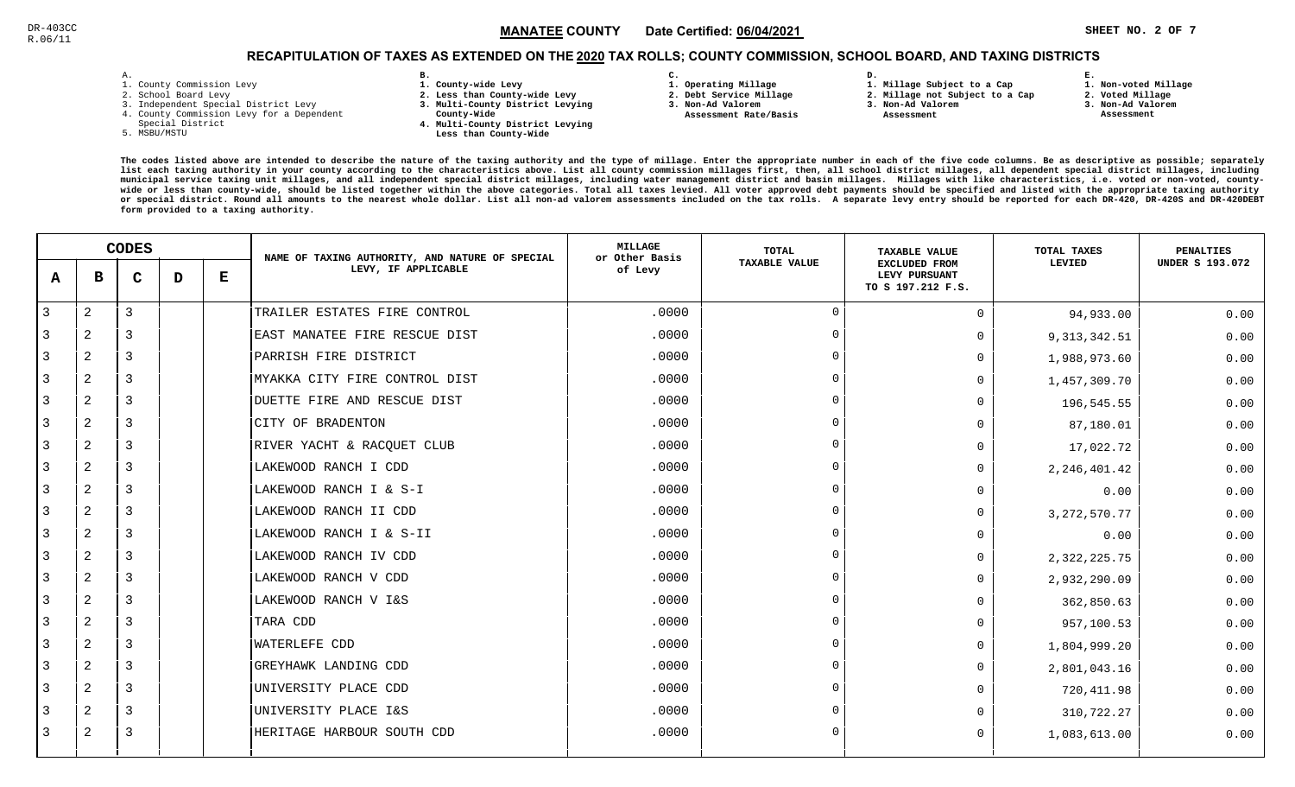# RECAPITULATION OF TAXES AS EXTENDED ON THE <u>2020</u> TAX ROLLS; COUNTY COMMISSION, SCHOOL BOARD, AND TAXING DISTRICTS

| $\overline{\phantom{a}}$ | ۰ |  |  |
|--------------------------|---|--|--|

- 1. County Commission Levy
- 2. School Board Levy
- 3. Independent Special District Levy
- 4. County Commission Levy for a Dependent
- Special District
- 5. MSBU/MSTU
- **B. 1. County-wide Levy**
- **2. Less than County-wide Levy**
- **3. Multi-County District Levying**
- **County-Wide** 
	- **4. Multi-County District Levying Less than County-Wide**
- **C. 1. Operating Millage**
- **2. Debt Service Millage**
- **3. Non-Ad Valorem**
- **Assessment Rate/Basis**
- **2. Millage not Subject to a Cap**

**D.** 

- **3. Non-Ad Valorem**
	- **Assessment**

**1. Millage Subject to a Cap**

**1. Non-voted Millage**

**E.**

- **2. Voted Millage**
- **3. Non-Ad Valorem**
- **Assessment**

|   |                | <b>CODES</b> |   |   | NAME OF TAXING AUTHORITY, AND NATURE OF SPECIAL | <b>MILLAGE</b><br>or Other Basis | TOTAL                | <b>TAXABLE VALUE</b>                                       | TOTAL TAXES    | <b>PENALTIES</b>       |
|---|----------------|--------------|---|---|-------------------------------------------------|----------------------------------|----------------------|------------------------------------------------------------|----------------|------------------------|
| A | в              | $\mathbf C$  | D | Е | LEVY, IF APPLICABLE                             | of Levy                          | <b>TAXABLE VALUE</b> | <b>EXCLUDED FROM</b><br>LEVY PURSUANT<br>TO S 197.212 F.S. | LEVIED         | <b>UNDER S 193.072</b> |
| 3 | 2              | 3            |   |   | TRAILER ESTATES FIRE CONTROL                    | .0000                            | $\Omega$             | $\Omega$                                                   | 94,933.00      | 0.00                   |
|   | 2              | 3            |   |   | EAST MANATEE FIRE RESCUE DIST                   | .0000                            | $\Omega$             | 0                                                          | 9, 313, 342.51 | 0.00                   |
| 3 | 2              | 3            |   |   | PARRISH FIRE DISTRICT                           | .0000                            | $\Omega$             | U                                                          | 1,988,973.60   | 0.00                   |
| 3 | 2              | 3            |   |   | MYAKKA CITY FIRE CONTROL DIST                   | .0000                            | $\Omega$             | 0                                                          | 1,457,309.70   | 0.00                   |
| 3 | 2              | 3            |   |   | DUETTE FIRE AND RESCUE DIST                     | .0000                            | $\Omega$             | U                                                          | 196,545.55     | 0.00                   |
| 3 | 2              | 3            |   |   | CITY OF BRADENTON                               | .0000                            | $\Omega$             | U                                                          | 87,180.01      | 0.00                   |
|   | 2              | 3            |   |   | RIVER YACHT & RACQUET CLUB                      | .0000                            | $\Omega$             | 0                                                          | 17,022.72      | 0.00                   |
| 3 | 2              | 3            |   |   | LAKEWOOD RANCH I CDD                            | .0000                            | $\Omega$             | $\Omega$                                                   | 2, 246, 401.42 | 0.00                   |
| 3 | 2              | 3            |   |   | LAKEWOOD RANCH I & S-I                          | .0000                            | $\Omega$             | U                                                          | 0.00           | 0.00                   |
| 3 | 2              | 3            |   |   | LAKEWOOD RANCH II CDD                           | .0000                            | $\Omega$             | 0                                                          | 3, 272, 570.77 | 0.00                   |
| 3 | $\overline{a}$ | 3            |   |   | LAKEWOOD RANCH I & S-II                         | .0000                            | $\Omega$             | U                                                          | 0.00           | 0.00                   |
| 3 | $\mathbf{2}$   | 3            |   |   | LAKEWOOD RANCH IV CDD                           | .0000                            | $\Omega$             | 0                                                          | 2, 322, 225.75 | 0.00                   |
| 3 | 2              | 3            |   |   | LAKEWOOD RANCH V CDD                            | .0000                            | $\Omega$             | $\cap$                                                     | 2,932,290.09   | 0.00                   |
| 3 | 2              | 3            |   |   | LAKEWOOD RANCH V I&S                            | .0000                            | $\cap$               | 0                                                          | 362,850.63     | 0.00                   |
| 3 | 2              | 3            |   |   | TARA CDD                                        | .0000                            | $\Omega$             | $\Omega$                                                   | 957,100.53     | 0.00                   |
| 3 | 2              | 3            |   |   | <b>WATERLEFE CDD</b>                            | .0000                            | $\Omega$             | $\Omega$                                                   | 1,804,999.20   | 0.00                   |
| 3 | 2              | 3            |   |   | GREYHAWK LANDING CDD                            | .0000                            | $\Omega$             | 0                                                          | 2,801,043.16   | 0.00                   |
| 3 | 2              | 3            |   |   | UNIVERSITY PLACE CDD                            | .0000                            | $\Omega$             | 0                                                          | 720, 411.98    | 0.00                   |
|   | 2              | 3            |   |   | UNIVERSITY PLACE I&S                            | .0000                            | $\Omega$             |                                                            | 310,722.27     | 0.00                   |
| 3 | 2              | 3            |   |   | HERITAGE HARBOUR SOUTH CDD                      | .0000                            | $\Omega$             | $\Omega$                                                   | 1,083,613.00   | 0.00                   |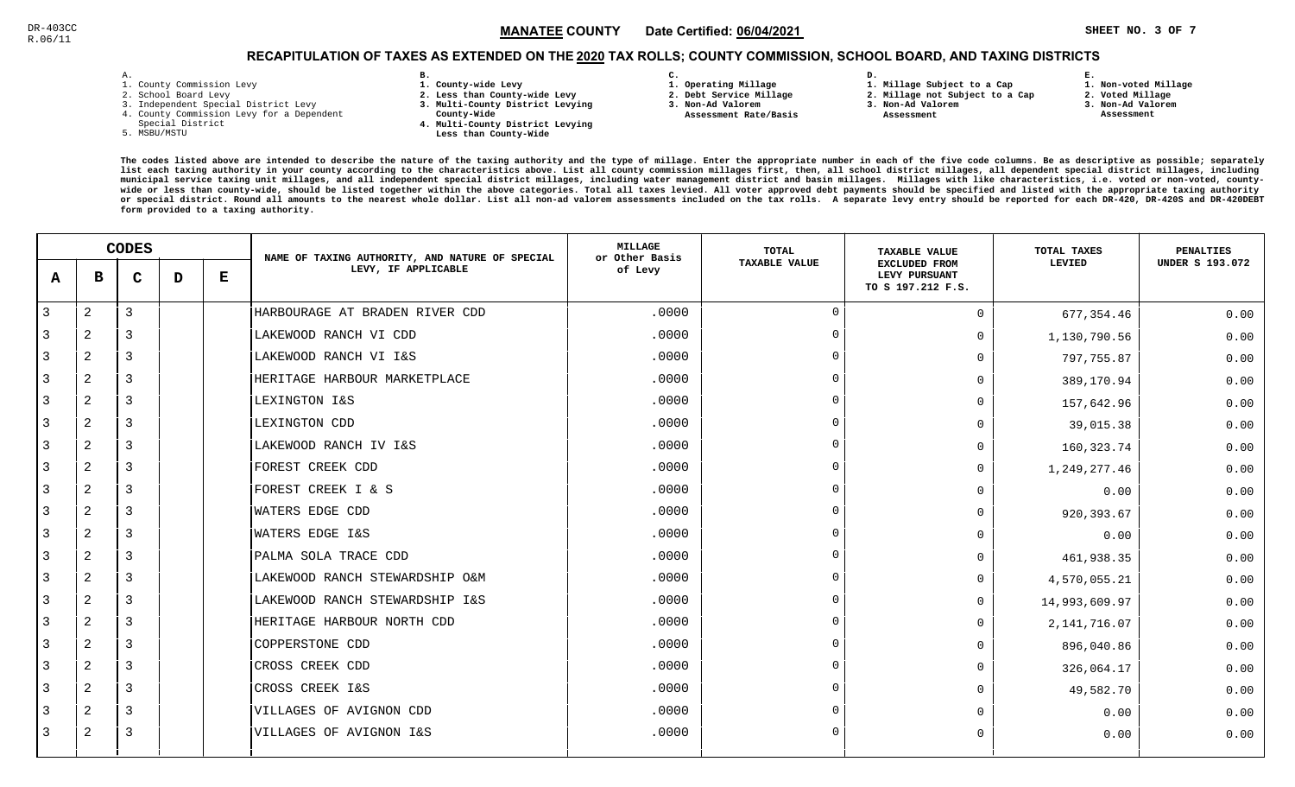# RECAPITULATION OF TAXES AS EXTENDED ON THE <u>2020</u> TAX ROLLS; COUNTY COMMISSION, SCHOOL BOARD, AND TAXING DISTRICTS

| ۰ |  |  |
|---|--|--|

- 1. County Commission Levy
- 2. School Board Levy
- 3. Independent Special District Levy
- 4. County Commission Levy for a Dependent
- Special District
- 5. MSBU/MSTU
- **B. 1. County-wide Levy**
- **2. Less than County-wide Levy**
- **3. Multi-County District Levying**
- **County-Wide** 
	- **4. Multi-County District Levying Less than County-Wide**
- **C.**
- **1. Operating Millage**
- **2. Debt Service Millage 3. Non-Ad Valorem**
- **Assessment Rate/Basis**
- **2. Millage not Subject to a Cap**

**D.** 

**3. Non-Ad Valorem**

**1. Millage Subject to a Cap**

 **Assessment** 

 **1. Non-voted Millage2. Voted Millage**

**E.**

- 
- **3. Non-Ad Valorem Assessment**
- 

|   | <b>CODES</b>   |             |   | NAME OF TAXING AUTHORITY, AND NATURE OF SPECIAL | <b>MILLAGE</b><br>or Other Basis | <b>TOTAL</b> | <b>TAXABLE VALUE</b> | TOTAL TAXES                                                | <b>PENALTIES</b> |                        |
|---|----------------|-------------|---|-------------------------------------------------|----------------------------------|--------------|----------------------|------------------------------------------------------------|------------------|------------------------|
| A | в              | $\mathbf C$ | D | Е                                               | LEVY, IF APPLICABLE              | of Levy      | TAXABLE VALUE        | <b>EXCLUDED FROM</b><br>LEVY PURSUANT<br>TO S 197.212 F.S. | LEVIED           | <b>UNDER S 193.072</b> |
| 3 | $\mathbf{2}$   | 3           |   |                                                 | HARBOURAGE AT BRADEN RIVER CDD   | .0000        | $\Omega$             | $\Omega$                                                   | 677, 354.46      | 0.00                   |
| 3 | 2              | 3           |   |                                                 | LAKEWOOD RANCH VI CDD            | .0000        | $\overline{0}$       | $\Omega$                                                   | 1,130,790.56     | 0.00                   |
| 3 | 2              | 3           |   |                                                 | LAKEWOOD RANCH VI I&S            | .0000        | $\Omega$             | $\Omega$                                                   | 797,755.87       | 0.00                   |
| 3 | 2              | 3           |   |                                                 | HERITAGE HARBOUR MARKETPLACE     | .0000        | $\Omega$             | 0                                                          | 389,170.94       | 0.00                   |
| 3 | 2              | 3           |   |                                                 | LEXINGTON I&S                    | .0000        | $\Omega$             | 0                                                          | 157,642.96       | 0.00                   |
| 3 | 2              | 3           |   |                                                 | LEXINGTON CDD                    | .0000        | $\Omega$             | U                                                          | 39,015.38        | 0.00                   |
| 3 | $\overline{a}$ | 3           |   |                                                 | LAKEWOOD RANCH IV I&S            | .0000        | $\Omega$             | 0                                                          | 160, 323.74      | 0.00                   |
| 3 | 2              | 3           |   |                                                 | FOREST CREEK CDD                 | .0000        | $\Omega$             | $\mathbf 0$                                                | 1,249,277.46     | 0.00                   |
| 3 | 2              | 3           |   |                                                 | FOREST CREEK I & S               | .0000        | $\Omega$             | $\Omega$                                                   | 0.00             | 0.00                   |
| 3 | 2              | 3           |   |                                                 | WATERS EDGE CDD                  | .0000        | $\Omega$             | $\Omega$                                                   | 920,393.67       | 0.00                   |
| 3 | 2              | 3           |   |                                                 | WATERS EDGE I&S                  | .0000        | $\Omega$             |                                                            | 0.00             | 0.00                   |
| 3 | $\overline{a}$ | 3           |   |                                                 | PALMA SOLA TRACE CDD             | .0000        | $\Omega$             | 0                                                          | 461,938.35       | 0.00                   |
| 3 | $\mathbf{2}$   | 3           |   |                                                 | LAKEWOOD RANCH STEWARDSHIP O&M   | .0000        | $\Omega$             | $\Omega$                                                   | 4,570,055.21     | 0.00                   |
| 3 | 2              | 3           |   |                                                 | LAKEWOOD RANCH STEWARDSHIP I&S   | .0000        | $\Omega$             | $\Omega$                                                   | 14,993,609.97    | 0.00                   |
| 3 | 2              | 3           |   |                                                 | HERITAGE HARBOUR NORTH CDD       | .0000        | $\Omega$             | $\Omega$                                                   | 2, 141, 716.07   | 0.00                   |
| 3 | 2              | 3           |   |                                                 | <b>COPPERSTONE CDD</b>           | .0000        | $\Omega$             | $\Omega$                                                   | 896,040.86       | 0.00                   |
| 3 | 2              | 3           |   |                                                 | CROSS CREEK CDD                  | .0000        | $\Omega$             | $\Omega$                                                   | 326,064.17       | 0.00                   |
| 3 | 2              | 3           |   |                                                 | CROSS CREEK I&S                  | .0000        | $\Omega$             | 0                                                          | 49,582.70        | 0.00                   |
| 3 | 2              | 3           |   |                                                 | VILLAGES OF AVIGNON CDD          | .0000        | $\Omega$             | $\cap$                                                     | 0.00             | 0.00                   |
| 3 | 2              | 3           |   |                                                 | VILLAGES OF AVIGNON I&S          | .0000        | $\Omega$             | 0                                                          | 0.00             | 0.00                   |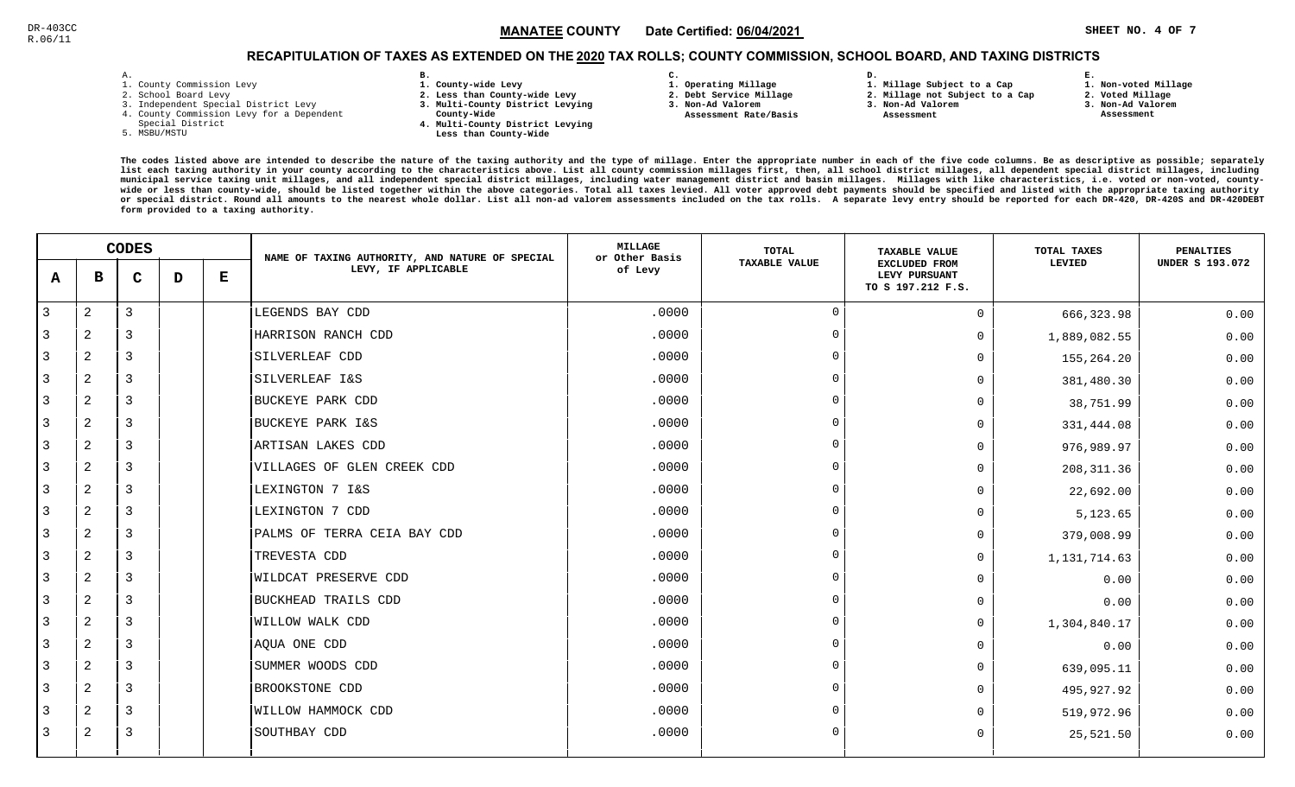# RECAPITULATION OF TAXES AS EXTENDED ON THE <u>2020</u> TAX ROLLS; COUNTY COMMISSION, SCHOOL BOARD, AND TAXING DISTRICTS

| ۰ |  |  |
|---|--|--|

- 1. County Commission Levy
- 2. School Board Levy
- 3. Independent Special District Levy
- 4. County Commission Levy for a Dependent
- Special District
- 5. MSBU/MSTU
- **B. 1. County-wide Levy**
- **2. Less than County-wide Levy**
- **3. Multi-County District Levying**
- **County-Wide** 
	- **4. Multi-County District Levying Less than County-Wide**
- **C. 1. Operating Millage** 
	-
- **2. Debt Service Millage 3. Non-Ad Valorem**
- **Assessment Rate/Basis**
- **1. Millage Subject to a Cap2. Millage not Subject to a Cap**

**D.** 

- **3. Non-Ad Valorem**
	- **Assessment**

**1. Non-voted Millage**

**E.**

- **2. Voted Millage**
- **3. Non-Ad Valorem Assessment**
- 

|                | <b>CODES</b>   |             |   | NAME OF TAXING AUTHORITY, AND NATURE OF SPECIAL | <b>MILLAGE</b><br>or Other Basis | TOTAL   | <b>TAXABLE VALUE</b> | TOTAL TAXES                                                | <b>PENALTIES</b> |                        |
|----------------|----------------|-------------|---|-------------------------------------------------|----------------------------------|---------|----------------------|------------------------------------------------------------|------------------|------------------------|
| A              | в              | $\mathbf C$ | D | Е                                               | LEVY, IF APPLICABLE              | of Levy | TAXABLE VALUE        | <b>EXCLUDED FROM</b><br>LEVY PURSUANT<br>TO S 197.212 F.S. | LEVIED           | <b>UNDER S 193.072</b> |
| $\overline{3}$ | 2              | 3           |   |                                                 | LEGENDS BAY CDD                  | .0000   | $\Omega$             | $\Omega$                                                   | 666, 323.98      | 0.00                   |
| 3              | 2              | 3           |   |                                                 | HARRISON RANCH CDD               | .0000   | $\overline{0}$       | $\Omega$                                                   | 1,889,082.55     | 0.00                   |
| 3              | 2              | 3           |   |                                                 | SILVERLEAF CDD                   | .0000   | $\Omega$             | $\Omega$                                                   | 155,264.20       | 0.00                   |
| 3              | $\overline{a}$ | 3           |   |                                                 | SILVERLEAF I&S                   | .0000   | $\overline{0}$       | $\Omega$                                                   | 381,480.30       | 0.00                   |
| 3              | $\overline{a}$ | 3           |   |                                                 | <b>BUCKEYE PARK CDD</b>          | .0000   | $\Omega$             | $\Omega$                                                   | 38,751.99        | 0.00                   |
| 3              | 2              | 3           |   |                                                 | BUCKEYE PARK I&S                 | .0000   | $\Omega$             | 0                                                          | 331,444.08       | 0.00                   |
| 3              | 2              | 3           |   |                                                 | ARTISAN LAKES CDD                | .0000   | $\Omega$             | $\Omega$                                                   | 976,989.97       | 0.00                   |
| 3              | 2              | 3           |   |                                                 | VILLAGES OF GLEN CREEK CDD       | .0000   | $\Omega$             | $\Omega$                                                   | 208, 311.36      | 0.00                   |
| 3              | 2              | 3           |   |                                                 | LEXINGTON 7 I&S                  | .0000   | $\Omega$             | $\Omega$                                                   | 22,692.00        | 0.00                   |
| 3              | 2              | 3           |   |                                                 | LEXINGTON 7 CDD                  | .0000   | $\overline{0}$       | $\Omega$                                                   | 5,123.65         | 0.00                   |
| 3              | 2              | 3           |   |                                                 | PALMS OF TERRA CEIA BAY CDD      | .0000   | $\Omega$             | $\Omega$                                                   | 379,008.99       | 0.00                   |
| 3              | 2              | 3           |   |                                                 | TREVESTA CDD                     | .0000   | $\overline{0}$       | $\Omega$                                                   | 1,131,714.63     | 0.00                   |
| 3              | 2              | 3           |   |                                                 | <b>WILDCAT PRESERVE CDD</b>      | .0000   | $\Omega$             | <sup>n</sup>                                               | 0.00             | 0.00                   |
| 3              | 2              | 3           |   |                                                 | BUCKHEAD TRAILS CDD              | .0000   | $\Omega$             | $\Omega$                                                   | 0.00             | 0.00                   |
| 3              | 2              | 3           |   |                                                 | <b>WILLOW WALK CDD</b>           | .0000   | $\overline{0}$       | $\Omega$                                                   | 1,304,840.17     | 0.00                   |
| 3              | 2              | 3           |   |                                                 | AQUA ONE CDD                     | .0000   | $\Omega$             | $\Omega$                                                   | 0.00             | 0.00                   |
| $\overline{3}$ | $\overline{2}$ | 3           |   |                                                 | SUMMER WOODS CDD                 | .0000   | $\overline{0}$       | $\Omega$                                                   | 639,095.11       | 0.00                   |
| 3              | 2              | 3           |   |                                                 | BROOKSTONE CDD                   | .0000   | $\Omega$             | $\Omega$                                                   | 495,927.92       | 0.00                   |
| 3              | $\overline{2}$ | 3           |   |                                                 | WILLOW HAMMOCK CDD               | .0000   | $\Omega$             |                                                            | 519,972.96       | 0.00                   |
| 3              | 2              | 3           |   |                                                 | SOUTHBAY CDD                     | .0000   | $\Omega$             | $\Omega$                                                   | 25,521.50        | 0.00                   |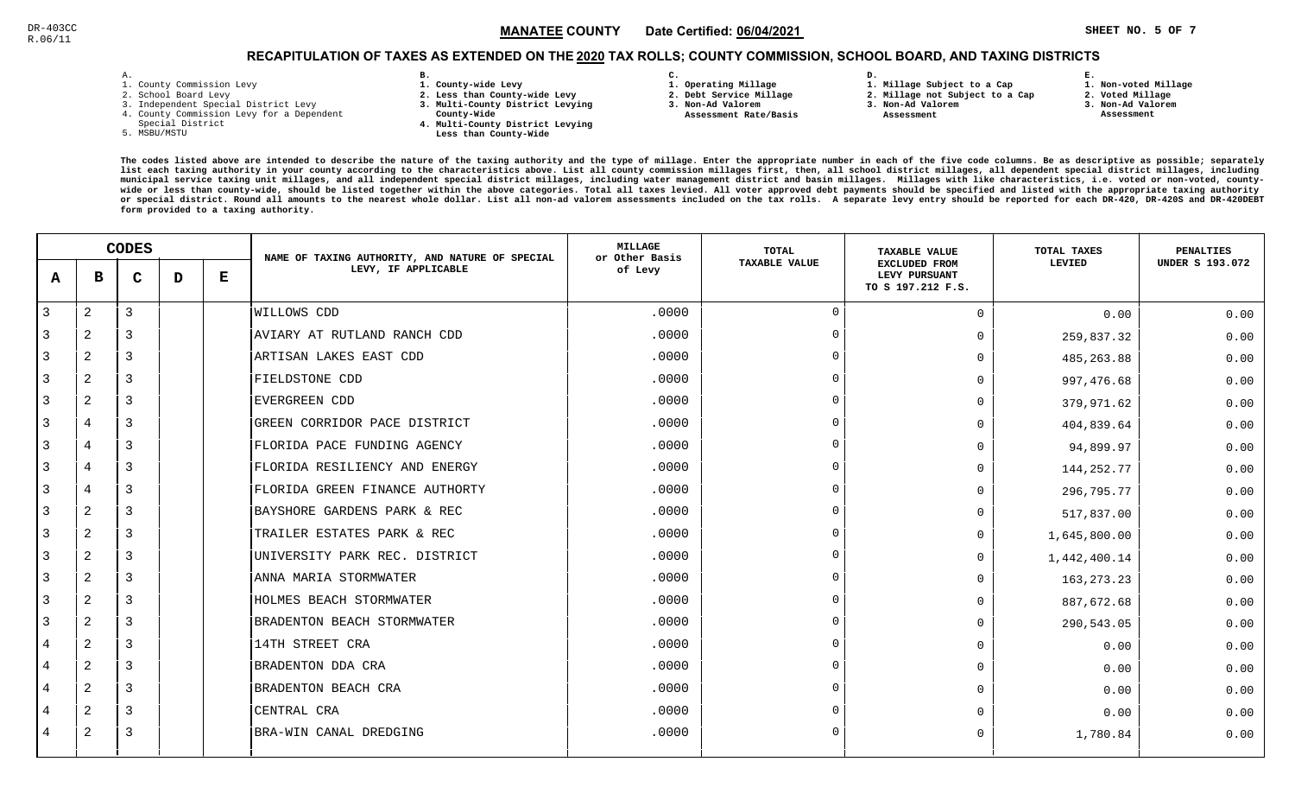### **SHEET NO. 5 OF 7** !"#\$#%MANATEE CO

**1. Non-voted Millage**

# RECAPITULATION OF TAXES AS EXTENDED ON THE <u>2020</u> TAX ROLLS; COUNTY COMMISSION, SCHOOL BOARD, AND TAXING DISTRICTS **C.**

| - | ٠ |  |  |
|---|---|--|--|

- 1. County Commission Levy
- 2. School Board Levy
- 3. Independent Special District Levy
- 4. County Commission Levy for a Dependent
- Special District
- 5. MSBU/MSTU
- **B. 1. County-wide Levy**
- **2. Less than County-wide Levy**
- **3. Multi-County District Levying**
- **County-Wide** 
	- **4. Multi-County District Levying Less than County-Wide**
- **1. Operating Millage** 
	- **2. Debt Service Millage 3. Non-Ad Valorem**
	- **Assessment Rate/Basis**
- **2. Millage not Subject to a Cap**

**D.** 

**3. Non-Ad Valorem Assessment** 

**1. Millage Subject to a Cap**

- 
- **2. Voted Millage3. Non-Ad Valorem**

**E.**

 **Assessment**

|   | <b>CODES</b> |             |   | NAME OF TAXING AUTHORITY, AND NATURE OF SPECIAL | <b>MILLAGE</b><br>or Other Basis | <b>TOTAL</b> | <b>TAXABLE VALUE</b> | TOTAL TAXES                                                | PENALTIES    |                        |
|---|--------------|-------------|---|-------------------------------------------------|----------------------------------|--------------|----------------------|------------------------------------------------------------|--------------|------------------------|
| A | в            | $\mathbf C$ | D | Е                                               | LEVY, IF APPLICABLE              | of Levy      | <b>TAXABLE VALUE</b> | <b>EXCLUDED FROM</b><br>LEVY PURSUANT<br>TO S 197.212 F.S. | LEVIED       | <b>UNDER S 193.072</b> |
| 3 | 2            | 3           |   |                                                 | WILLOWS CDD                      | .0000        | $\Omega$             | $\mathbf 0$                                                | 0.00         | 0.00                   |
|   | 2            | 3           |   |                                                 | AVIARY AT RUTLAND RANCH CDD      | .0000        | $\Omega$             | $\Omega$                                                   | 259,837.32   | 0.00                   |
| 3 | 2            | 3           |   |                                                 | ARTISAN LAKES EAST CDD           | .0000        |                      | $\Omega$                                                   | 485, 263.88  | 0.00                   |
| 3 | 2            | 3           |   |                                                 | FIELDSTONE CDD                   | .0000        | $\Omega$             | $\Omega$                                                   | 997,476.68   | 0.00                   |
| 3 | $\mathbf{2}$ | 3           |   |                                                 | <b>EVERGREEN CDD</b>             | .0000        | $\Omega$             | $\Omega$                                                   | 379,971.62   | 0.00                   |
| 3 | 4            | 3           |   |                                                 | GREEN CORRIDOR PACE DISTRICT     | .0000        | $\cap$               | $\Omega$                                                   | 404,839.64   | 0.00                   |
| 3 | 4            | 3           |   |                                                 | FLORIDA PACE FUNDING AGENCY      | .0000        | $\Omega$             | $\Omega$                                                   | 94,899.97    | 0.00                   |
| 3 | 4            | 3           |   |                                                 | FLORIDA RESILIENCY AND ENERGY    | .0000        |                      | $\mathbf 0$                                                | 144, 252. 77 | 0.00                   |
|   | 4            | 3           |   |                                                 | FLORIDA GREEN FINANCE AUTHORTY   | .0000        |                      | $\Omega$                                                   | 296,795.77   | 0.00                   |
| 3 | 2            | 3           |   |                                                 | BAYSHORE GARDENS PARK & REC      | .0000        |                      | $\Omega$                                                   | 517,837.00   | 0.00                   |
| 3 | 2            | 3           |   |                                                 | TRAILER ESTATES PARK & REC       | .0000        | $\Omega$             | $\Omega$                                                   | 1,645,800.00 | 0.00                   |
| 3 | $\mathbf{2}$ | 3           |   |                                                 | UNIVERSITY PARK REC. DISTRICT    | .0000        | $\Omega$             | $\Omega$                                                   | 1,442,400.14 | 0.00                   |
| 3 | 2            | 3           |   |                                                 | ANNA MARIA STORMWATER            | .0000        | $\cap$               | $\Omega$                                                   | 163, 273. 23 | 0.00                   |
| 3 | 2            | 3           |   |                                                 | HOLMES BEACH STORMWATER          | .0000        | $\Omega$             | $\Omega$                                                   | 887,672.68   | 0.00                   |
| 3 | 2            | 3           |   |                                                 | BRADENTON BEACH STORMWATER       | .0000        |                      | $\mathbf 0$                                                | 290,543.05   | 0.00                   |
| 4 | 2            | 3           |   |                                                 | 14TH STREET CRA                  | .0000        |                      | $\Omega$                                                   | 0.00         | 0.00                   |
| 4 | 2            | 3           |   |                                                 | BRADENTON DDA CRA                | .0000        |                      | $\Omega$                                                   | 0.00         | 0.00                   |
| 4 | 2            | 3           |   |                                                 | BRADENTON BEACH CRA              | .0000        |                      | $\Omega$                                                   | 0.00         | 0.00                   |
| 4 | 2            | 3           |   |                                                 | CENTRAL CRA                      | .0000        |                      | $\Omega$                                                   | 0.00         | 0.00                   |
| 4 | 2            | 3           |   |                                                 | BRA-WIN CANAL DREDGING           | .0000        | $\Omega$             | $\Omega$                                                   | 1,780.84     | 0.00                   |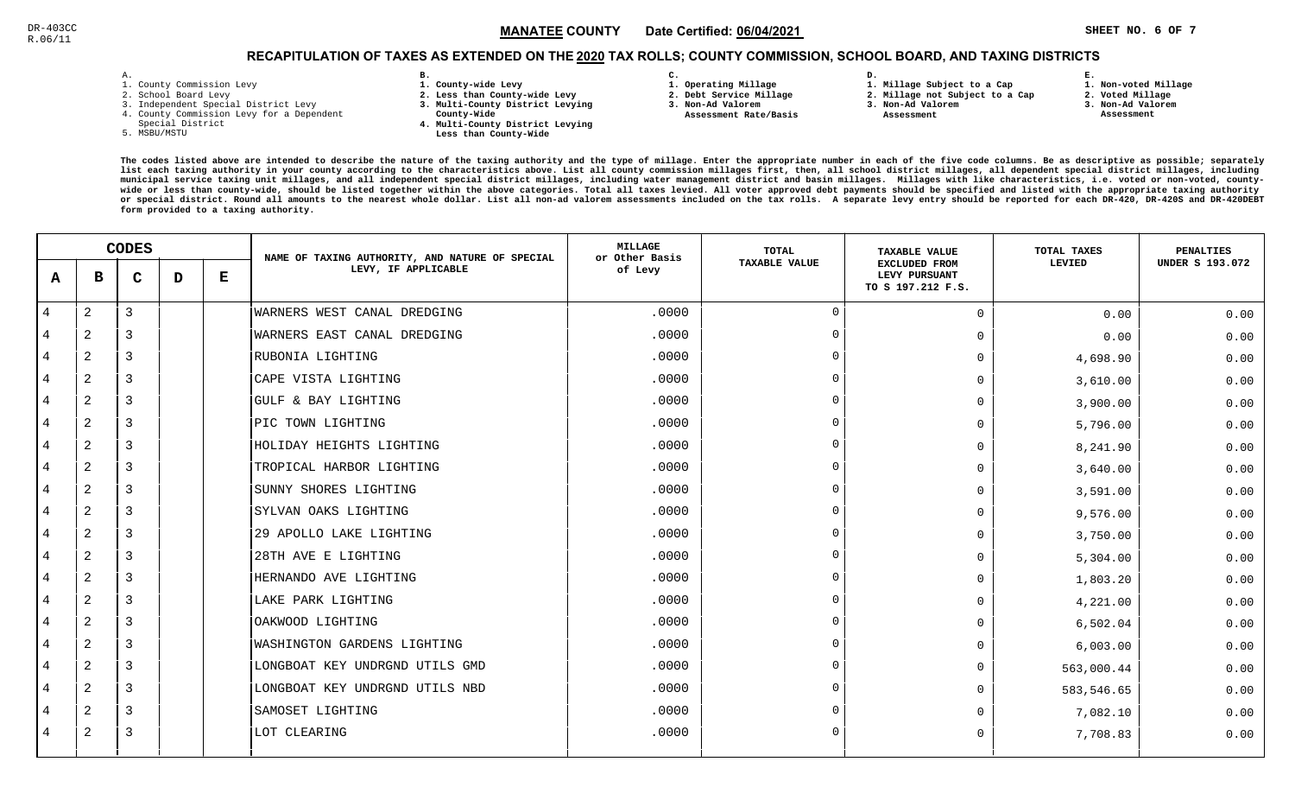**1. Non-voted Millage2. Voted Millage**

# RECAPITULATION OF TAXES AS EXTENDED ON THE <u>2020</u> TAX ROLLS; COUNTY COMMISSION, SCHOOL BOARD, AND TAXING DISTRICTS

| ۰ |  |  |
|---|--|--|

- 1. County Commission Levy
- 2. School Board Levy
- 3. Independent Special District Levy
- 4. County Commission Levy for a Dependent
- Special District
- 5. MSBU/MSTU
- **B. 1. County-wide Levy**
- **2. Less than County-wide Levy**
- **3. Multi-County District Levying**
- **County-Wide** 
	- **4. Multi-County District Levying Less than County-Wide**
- **C. 3. Non-Ad Valorem**
- **1. Operating Millage**

**2. Debt Service Millage** 

 **Assessment Rate/Basis**

- **D. 1. Millage Subject to a Cap**
	- **2. Millage not Subject to a Cap3. Non-Ad Valorem**
	- **Assessment**
- 
- **3. Non-Ad Valorem Assessment**

**E.**

|                |                | <b>CODES</b> |   |   | NAME OF TAXING AUTHORITY, AND NATURE OF SPECIAL | <b>MILLAGE</b><br>or Other Basis | TOTAL         | <b>TAXABLE VALUE</b>                                       | TOTAL TAXES | <b>PENALTIES</b>       |
|----------------|----------------|--------------|---|---|-------------------------------------------------|----------------------------------|---------------|------------------------------------------------------------|-------------|------------------------|
| A              | в              | $\mathbf C$  | D | Е | LEVY, IF APPLICABLE                             | of Levy                          | TAXABLE VALUE | <b>EXCLUDED FROM</b><br>LEVY PURSUANT<br>TO S 197.212 F.S. | LEVIED      | <b>UNDER S 193.072</b> |
| $\overline{4}$ | 2              | 3            |   |   | WARNERS WEST CANAL DREDGING                     | .0000                            | $\Omega$      | $\Omega$                                                   | 0.00        | 0.00                   |
| 4              | 2              | 3            |   |   | WARNERS EAST CANAL DREDGING                     | .0000                            | $\Omega$      | $\Omega$                                                   | 0.00        | 0.00                   |
| $\overline{4}$ | 2              | 3            |   |   | RUBONIA LIGHTING                                | .0000                            | $\Omega$      | $\Omega$                                                   | 4,698.90    | 0.00                   |
| 4              | 2              | 3            |   |   | CAPE VISTA LIGHTING                             | .0000                            | $\Omega$      | $\Omega$                                                   | 3,610.00    | 0.00                   |
| 4              | 2              | 3            |   |   | GULF & BAY LIGHTING                             | .0000                            | $\Omega$      | 0                                                          | 3,900.00    | 0.00                   |
| 4              | 2              | 3            |   |   | PIC TOWN LIGHTING                               | .0000                            | $\Omega$      | $\Omega$                                                   | 5,796.00    | 0.00                   |
| 4              | 2              | 3            |   |   | HOLIDAY HEIGHTS LIGHTING                        | .0000                            | $\Omega$      | $\Omega$                                                   | 8,241.90    | 0.00                   |
| 4              | 2              | 3            |   |   | TROPICAL HARBOR LIGHTING                        | .0000                            | $\Omega$      | $\Omega$                                                   | 3,640.00    | 0.00                   |
| 4              | 2              | 3            |   |   | SUNNY SHORES LIGHTING                           | .0000                            | $\Omega$      | $\Omega$                                                   | 3,591.00    | 0.00                   |
| $\overline{4}$ | $\overline{2}$ | 3            |   |   | SYLVAN OAKS LIGHTING                            | .0000                            | $\Omega$      | $\Omega$                                                   | 9,576.00    | 0.00                   |
| 4              | 2              | 3            |   |   | 29 APOLLO LAKE LIGHTING                         | .0000                            | $\Omega$      | $\Omega$                                                   | 3,750.00    | 0.00                   |
| 4              | 2              | 3            |   |   | 28TH AVE E LIGHTING                             | .0000                            | $\Omega$      | <sup>n</sup>                                               | 5,304.00    | 0.00                   |
| 4              | 2              | 3            |   |   | HERNANDO AVE LIGHTING                           | .0000                            | $\cap$        | $\Omega$                                                   | 1,803.20    | 0.00                   |
| 4              | 2              | 3            |   |   | LAKE PARK LIGHTING                              | .0000                            | $\Omega$      | <sup>n</sup>                                               | 4,221.00    | 0.00                   |
| 4              | 2              | 3            |   |   | OAKWOOD LIGHTING                                | .0000                            | $\Omega$      | $\Omega$                                                   | 6,502.04    | 0.00                   |
| 4              | 2              | 3            |   |   | WASHINGTON GARDENS LIGHTING                     | .0000                            | $\Omega$      | $\Omega$                                                   | 6,003.00    | 0.00                   |
| 4              | $\overline{2}$ | 3            |   |   | LONGBOAT KEY UNDRGND UTILS GMD                  | .0000                            | $\Omega$      | $\Omega$                                                   | 563,000.44  | 0.00                   |
| 4              | 2              | 3            |   |   | LONGBOAT KEY UNDRGND UTILS NBD                  | .0000                            | $\Omega$      | $\Omega$                                                   | 583,546.65  | 0.00                   |
| 4              | 2              | 3            |   |   | SAMOSET LIGHTING                                | .0000                            | $\Omega$      | U                                                          | 7,082.10    | 0.00                   |
| $\overline{4}$ | 2              | 3            |   |   | LOT CLEARING                                    | .0000                            | $\Omega$      | $\Omega$                                                   | 7,708.83    | 0.00                   |